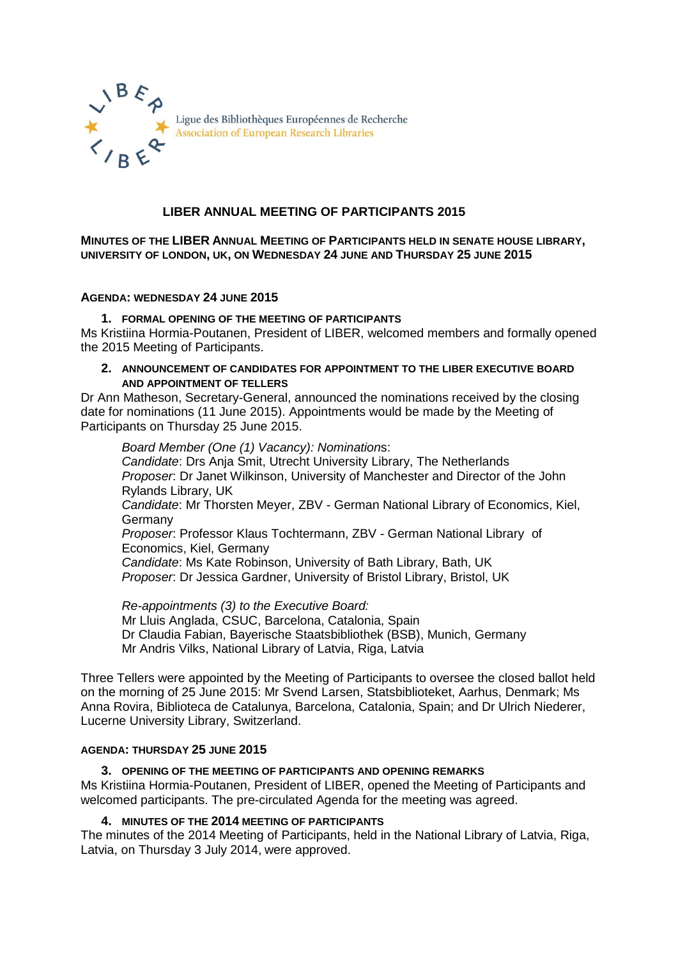

### **LIBER ANNUAL MEETING OF PARTICIPANTS 2015**

**MINUTES OF THE LIBER ANNUAL MEETING OF PARTICIPANTS HELD IN SENATE HOUSE LIBRARY, UNIVERSITY OF LONDON, UK, ON WEDNESDAY 24 JUNE AND THURSDAY 25 JUNE 2015**

#### **AGENDA: WEDNESDAY 24 JUNE 2015**

### **1. FORMAL OPENING OF THE MEETING OF PARTICIPANTS**

Ms Kristiina Hormia-Poutanen, President of LIBER, welcomed members and formally opened the 2015 Meeting of Participants.

#### **2. ANNOUNCEMENT OF CANDIDATES FOR APPOINTMENT TO THE LIBER EXECUTIVE BOARD AND APPOINTMENT OF TELLERS**

Dr Ann Matheson, Secretary-General, announced the nominations received by the closing date for nominations (11 June 2015). Appointments would be made by the Meeting of Participants on Thursday 25 June 2015.

*Board Member (One (1) Vacancy): Nomination*s: *Candidate*: Drs Anja Smit, Utrecht University Library, The Netherlands *Proposer*: Dr Janet Wilkinson, University of Manchester and Director of the John Rylands Library, UK *Candidate*: Mr Thorsten Meyer, ZBV - German National Library of Economics, Kiel, **Germany** *Proposer*: Professor Klaus Tochtermann, ZBV - German National Library of Economics, Kiel, Germany *Candidate*: Ms Kate Robinson, University of Bath Library, Bath, UK *Proposer*: Dr Jessica Gardner, University of Bristol Library, Bristol, UK

*Re-appointments (3) to the Executive Board:* Mr Lluis Anglada, CSUC, Barcelona, Catalonia, Spain Dr Claudia Fabian, Bayerische Staatsbibliothek (BSB), Munich, Germany Mr Andris Vilks, National Library of Latvia, Riga, Latvia

Three Tellers were appointed by the Meeting of Participants to oversee the closed ballot held on the morning of 25 June 2015: Mr Svend Larsen, Statsbiblioteket, Aarhus, Denmark; Ms Anna Rovira, Biblioteca de Catalunya, Barcelona, Catalonia, Spain; and Dr Ulrich Niederer, Lucerne University Library, Switzerland.

#### **AGENDA: THURSDAY 25 JUNE 2015**

# **3. OPENING OF THE MEETING OF PARTICIPANTS AND OPENING REMARKS**

Ms Kristiina Hormia-Poutanen, President of LIBER, opened the Meeting of Participants and welcomed participants. The pre-circulated Agenda for the meeting was agreed.

### **4. MINUTES OF THE 2014 MEETING OF PARTICIPANTS**

The minutes of the 2014 Meeting of Participants, held in the National Library of Latvia, Riga, Latvia, on Thursday 3 July 2014, were approved.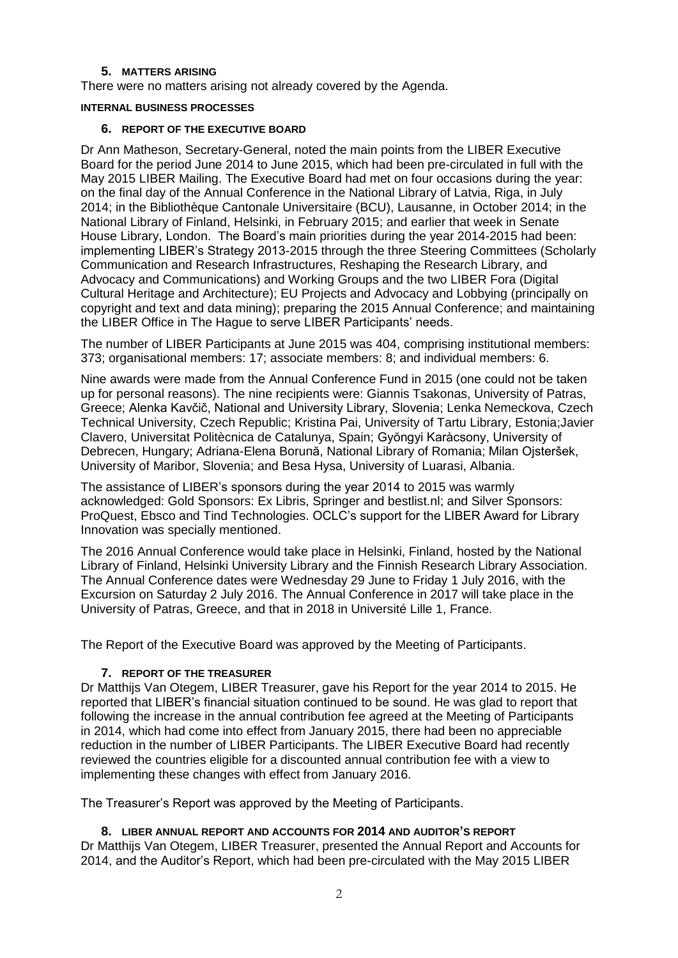### **5. MATTERS ARISING**

There were no matters arising not already covered by the Agenda.

#### **INTERNAL BUSINESS PROCESSES**

#### **6. REPORT OF THE EXECUTIVE BOARD**

Dr Ann Matheson, Secretary-General, noted the main points from the LIBER Executive Board for the period June 2014 to June 2015, which had been pre-circulated in full with the May 2015 LIBER Mailing. The Executive Board had met on four occasions during the year: on the final day of the Annual Conference in the National Library of Latvia, Riga, in July 2014; in the Bibliothèque Cantonale Universitaire (BCU), Lausanne, in October 2014; in the National Library of Finland, Helsinki, in February 2015; and earlier that week in Senate House Library, London. The Board's main priorities during the year 2014-2015 had been: implementing LIBER's Strategy 2013-2015 through the three Steering Committees (Scholarly Communication and Research Infrastructures, Reshaping the Research Library, and Advocacy and Communications) and Working Groups and the two LIBER Fora (Digital Cultural Heritage and Architecture); EU Projects and Advocacy and Lobbying (principally on copyright and text and data mining); preparing the 2015 Annual Conference; and maintaining the LIBER Office in The Hague to serve LIBER Participants' needs.

The number of LIBER Participants at June 2015 was 404, comprising institutional members: 373; organisational members: 17; associate members: 8; and individual members: 6.

Nine awards were made from the Annual Conference Fund in 2015 (one could not be taken up for personal reasons). The nine recipients were: Giannis Tsakonas, University of Patras, Greece; Alenka Kavčič, National and University Library, Slovenia; Lenka Nemeckova, Czech Technical University, Czech Republic; Kristina Pai, University of Tartu Library, Estonia;Javier Clavero, Universitat Politècnica de Catalunya, Spain; Gyŏngyi Karàcsony, University of Debrecen, Hungary; Adriana-Elena Borună, National Library of Romania; Milan Ojsteršek, University of Maribor, Slovenia; and Besa Hysa, University of Luarasi, Albania.

The assistance of LIBER's sponsors during the year 2014 to 2015 was warmly acknowledged: Gold Sponsors: Ex Libris, Springer and bestlist.nl; and Silver Sponsors: ProQuest, Ebsco and Tind Technologies. OCLC's support for the LIBER Award for Library Innovation was specially mentioned.

The 2016 Annual Conference would take place in Helsinki, Finland, hosted by the National Library of Finland, Helsinki University Library and the Finnish Research Library Association. The Annual Conference dates were Wednesday 29 June to Friday 1 July 2016, with the Excursion on Saturday 2 July 2016. The Annual Conference in 2017 will take place in the University of Patras, Greece, and that in 2018 in Université Lille 1, France.

The Report of the Executive Board was approved by the Meeting of Participants.

### **7. REPORT OF THE TREASURER**

Dr Matthijs Van Otegem, LIBER Treasurer, gave his Report for the year 2014 to 2015. He reported that LIBER's financial situation continued to be sound. He was glad to report that following the increase in the annual contribution fee agreed at the Meeting of Participants in 2014, which had come into effect from January 2015, there had been no appreciable reduction in the number of LIBER Participants. The LIBER Executive Board had recently reviewed the countries eligible for a discounted annual contribution fee with a view to implementing these changes with effect from January 2016.

The Treasurer's Report was approved by the Meeting of Participants.

### **8. LIBER ANNUAL REPORT AND ACCOUNTS FOR 2014 AND AUDITOR'S REPORT**

Dr Matthijs Van Otegem, LIBER Treasurer, presented the Annual Report and Accounts for 2014, and the Auditor's Report, which had been pre-circulated with the May 2015 LIBER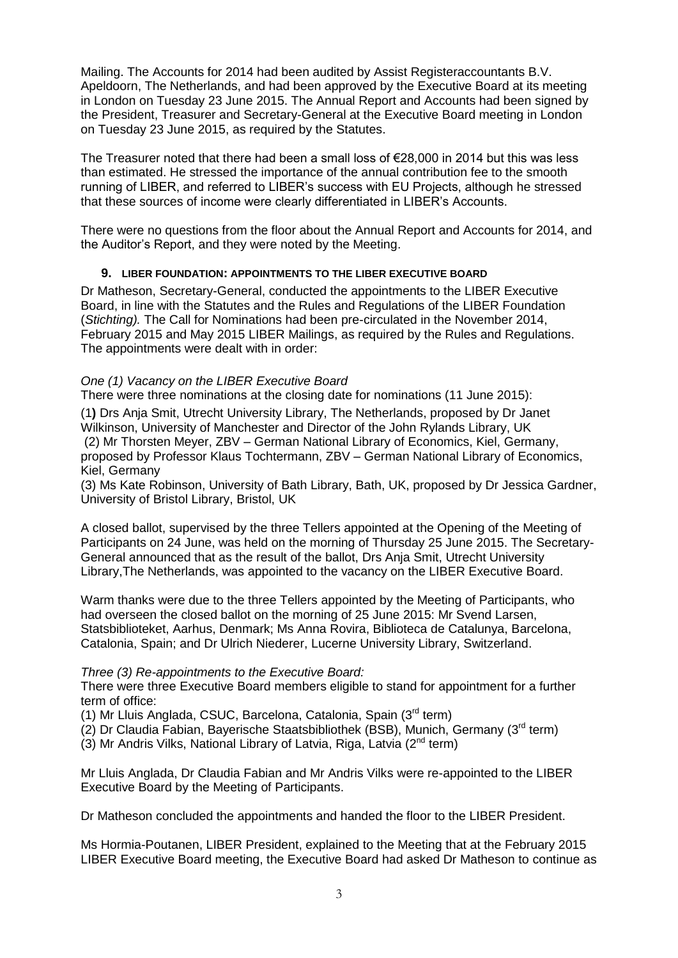Mailing. The Accounts for 2014 had been audited by Assist Registeraccountants B.V. Apeldoorn, The Netherlands, and had been approved by the Executive Board at its meeting in London on Tuesday 23 June 2015. The Annual Report and Accounts had been signed by the President, Treasurer and Secretary-General at the Executive Board meeting in London on Tuesday 23 June 2015, as required by the Statutes.

The Treasurer noted that there had been a small loss of  $\epsilon$ 28,000 in 2014 but this was less than estimated. He stressed the importance of the annual contribution fee to the smooth running of LIBER, and referred to LIBER's success with EU Projects, although he stressed that these sources of income were clearly differentiated in LIBER's Accounts.

There were no questions from the floor about the Annual Report and Accounts for 2014, and the Auditor's Report, and they were noted by the Meeting.

## **9. LIBER FOUNDATION: APPOINTMENTS TO THE LIBER EXECUTIVE BOARD**

Dr Matheson, Secretary-General, conducted the appointments to the LIBER Executive Board, in line with the Statutes and the Rules and Regulations of the LIBER Foundation (*Stichting).* The Call for Nominations had been pre-circulated in the November 2014, February 2015 and May 2015 LIBER Mailings, as required by the Rules and Regulations. The appointments were dealt with in order:

## *One (1) Vacancy on the LIBER Executive Board*

There were three nominations at the closing date for nominations (11 June 2015):

(1**)** Drs Anja Smit, Utrecht University Library, The Netherlands, proposed by Dr Janet Wilkinson, University of Manchester and Director of the John Rylands Library, UK (2) Mr Thorsten Meyer, ZBV – German National Library of Economics, Kiel, Germany, proposed by Professor Klaus Tochtermann, ZBV – German National Library of Economics, Kiel, Germany

(3) Ms Kate Robinson, University of Bath Library, Bath, UK, proposed by Dr Jessica Gardner, University of Bristol Library, Bristol, UK

A closed ballot, supervised by the three Tellers appointed at the Opening of the Meeting of Participants on 24 June, was held on the morning of Thursday 25 June 2015. The Secretary-General announced that as the result of the ballot, Drs Anja Smit, Utrecht University Library,The Netherlands, was appointed to the vacancy on the LIBER Executive Board.

Warm thanks were due to the three Tellers appointed by the Meeting of Participants, who had overseen the closed ballot on the morning of 25 June 2015: Mr Svend Larsen, Statsbiblioteket, Aarhus, Denmark; Ms Anna Rovira, Biblioteca de Catalunya, Barcelona, Catalonia, Spain; and Dr Ulrich Niederer, Lucerne University Library, Switzerland.

### *Three (3) Re-appointments to the Executive Board:*

There were three Executive Board members eligible to stand for appointment for a further term of office:

(1) Mr Lluis Anglada, CSUC, Barcelona, Catalonia, Spain (3rd term)

(2) Dr Claudia Fabian, Bayerische Staatsbibliothek (BSB), Munich, Germany (3rd term)

(3) Mr Andris Vilks, National Library of Latvia, Riga, Latvia  $(2^{nd}$  term)

Mr Lluis Anglada, Dr Claudia Fabian and Mr Andris Vilks were re-appointed to the LIBER Executive Board by the Meeting of Participants.

Dr Matheson concluded the appointments and handed the floor to the LIBER President.

Ms Hormia-Poutanen, LIBER President, explained to the Meeting that at the February 2015 LIBER Executive Board meeting, the Executive Board had asked Dr Matheson to continue as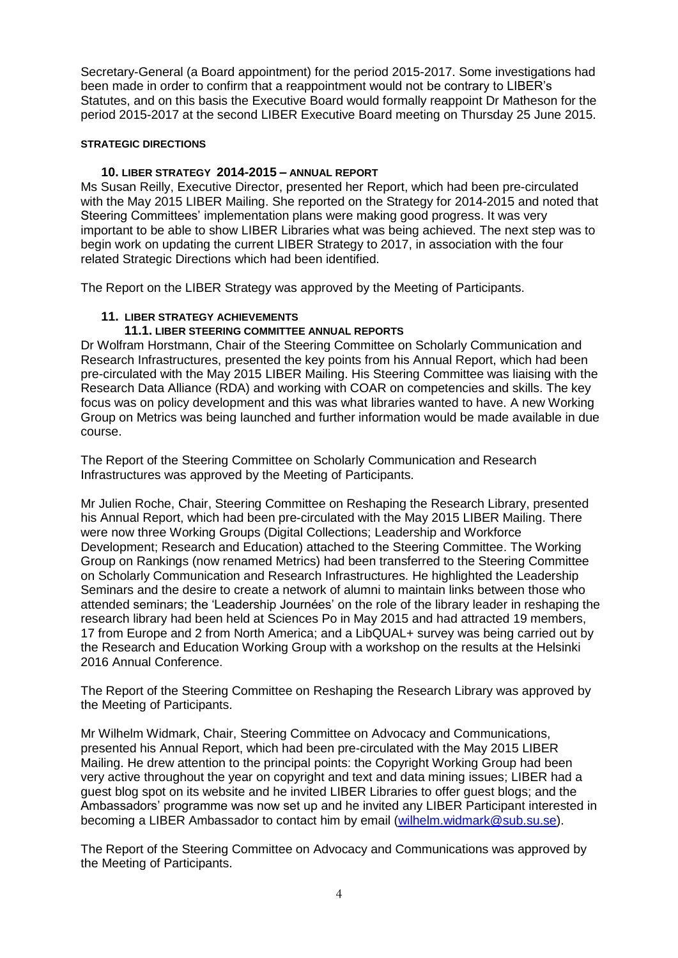Secretary-General (a Board appointment) for the period 2015-2017. Some investigations had been made in order to confirm that a reappointment would not be contrary to LIBER's Statutes, and on this basis the Executive Board would formally reappoint Dr Matheson for the period 2015-2017 at the second LIBER Executive Board meeting on Thursday 25 June 2015.

### **STRATEGIC DIRECTIONS**

### **10. LIBER STRATEGY 2014-2015 – ANNUAL REPORT**

Ms Susan Reilly, Executive Director, presented her Report, which had been pre-circulated with the May 2015 LIBER Mailing. She reported on the Strategy for 2014-2015 and noted that Steering Committees' implementation plans were making good progress. It was very important to be able to show LIBER Libraries what was being achieved. The next step was to begin work on updating the current LIBER Strategy to 2017, in association with the four related Strategic Directions which had been identified.

The Report on the LIBER Strategy was approved by the Meeting of Participants.

### **11. LIBER STRATEGY ACHIEVEMENTS**

### **11.1. LIBER STEERING COMMITTEE ANNUAL REPORTS**

Dr Wolfram Horstmann, Chair of the Steering Committee on Scholarly Communication and Research Infrastructures, presented the key points from his Annual Report, which had been pre-circulated with the May 2015 LIBER Mailing. His Steering Committee was liaising with the Research Data Alliance (RDA) and working with COAR on competencies and skills. The key focus was on policy development and this was what libraries wanted to have. A new Working Group on Metrics was being launched and further information would be made available in due course.

The Report of the Steering Committee on Scholarly Communication and Research Infrastructures was approved by the Meeting of Participants.

Mr Julien Roche, Chair, Steering Committee on Reshaping the Research Library, presented his Annual Report, which had been pre-circulated with the May 2015 LIBER Mailing. There were now three Working Groups (Digital Collections; Leadership and Workforce Development; Research and Education) attached to the Steering Committee. The Working Group on Rankings (now renamed Metrics) had been transferred to the Steering Committee on Scholarly Communication and Research Infrastructures. He highlighted the Leadership Seminars and the desire to create a network of alumni to maintain links between those who attended seminars; the 'Leadership Journées' on the role of the library leader in reshaping the research library had been held at Sciences Po in May 2015 and had attracted 19 members, 17 from Europe and 2 from North America; and a LibQUAL+ survey was being carried out by the Research and Education Working Group with a workshop on the results at the Helsinki 2016 Annual Conference.

The Report of the Steering Committee on Reshaping the Research Library was approved by the Meeting of Participants.

Mr Wilhelm Widmark, Chair, Steering Committee on Advocacy and Communications, presented his Annual Report, which had been pre-circulated with the May 2015 LIBER Mailing. He drew attention to the principal points: the Copyright Working Group had been very active throughout the year on copyright and text and data mining issues; LIBER had a guest blog spot on its website and he invited LIBER Libraries to offer guest blogs; and the Ambassadors' programme was now set up and he invited any LIBER Participant interested in becoming a LIBER Ambassador to contact him by email [\(wilhelm.widmark@sub.su.se\)](mailto:wilhelm.widmark@sub.su.se).

The Report of the Steering Committee on Advocacy and Communications was approved by the Meeting of Participants.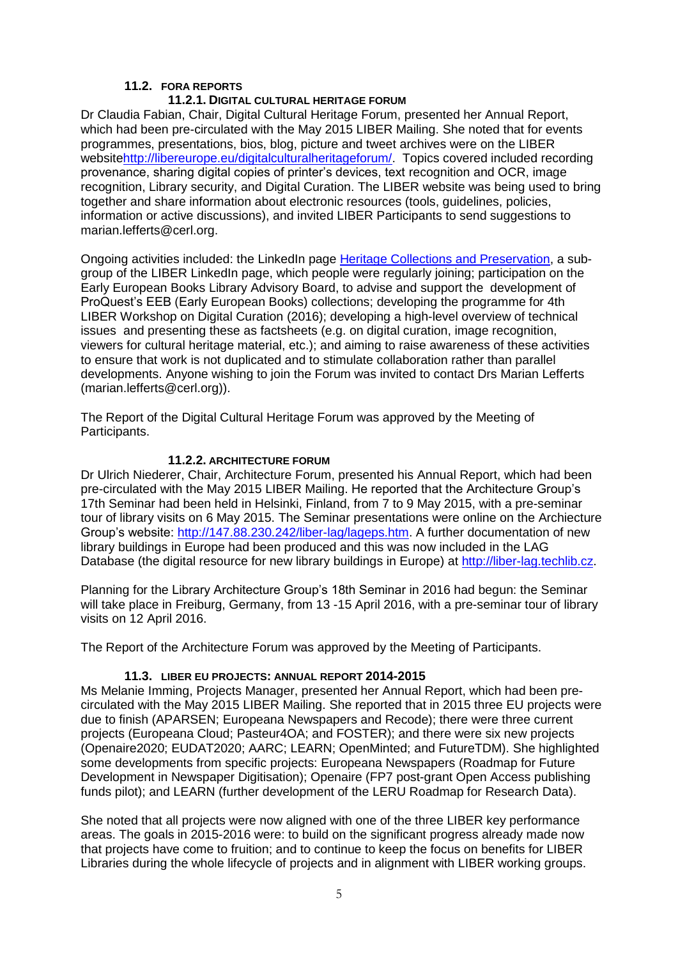## **11.2. FORA REPORTS**

### **11.2.1. DIGITAL CULTURAL HERITAGE FORUM**

Dr Claudia Fabian, Chair, Digital Cultural Heritage Forum, presented her Annual Report, which had been pre-circulated with the May 2015 LIBER Mailing. She noted that for events programmes, presentations, bios, blog, picture and tweet archives were on the LIBER websit[ehttp://libereurope.eu/digitalculturalheritageforum/.](http://libereurope.eu/digitalculturalheritageforum/) Topics covered included recording provenance, sharing digital copies of printer's devices, text recognition and OCR, image recognition, Library security, and Digital Curation. The LIBER website was being used to bring together and share information about electronic resources (tools, guidelines, policies, information or active discussions), and invited LIBER Participants to send suggestions to marian.lefferts@cerl.org.

Ongoing activities included: the LinkedIn page [Heritage Collections and Preservation,](http://www.linkedin.com/groups?gid=3315506&mostPopular=&trk=tyah&trkInfo=tas:Heritage%20Collections%20and%20Preservation,idx:1-1-1) a subgroup of the LIBER LinkedIn page, which people were regularly joining; participation on the Early European Books Library Advisory Board, to advise and support the development of ProQuest's EEB (Early European Books) collections; developing the programme for 4th LIBER Workshop on Digital Curation (2016); developing a high-level overview of technical issues and presenting these as factsheets (e.g. on digital curation, image recognition, viewers for cultural heritage material, etc.); and aiming to raise awareness of these activities to ensure that work is not duplicated and to stimulate collaboration rather than parallel developments. Anyone wishing to join the Forum was invited to contact Drs Marian Lefferts (marian.lefferts@cerl.org)).

The Report of the Digital Cultural Heritage Forum was approved by the Meeting of Participants.

### **11.2.2. ARCHITECTURE FORUM**

Dr Ulrich Niederer, Chair, Architecture Forum, presented his Annual Report, which had been pre-circulated with the May 2015 LIBER Mailing. He reported that the Architecture Group's 17th Seminar had been held in Helsinki, Finland, from 7 to 9 May 2015, with a pre-seminar tour of library visits on 6 May 2015. The Seminar presentations were online on the Archiecture Group's website: [http://147.88.230.242/liber-lag/lageps.htm.](http://147.88.230.242/liber-lag/lageps.htm) A further documentation of new library buildings in Europe had been produced and this was now included in the LAG Database (the digital resource for new library buildings in Europe) at [http://liber-lag.techlib.cz.](http://liber-lag.techlib.cz/)

Planning for the Library Architecture Group's 18th Seminar in 2016 had begun: the Seminar will take place in Freiburg, Germany, from 13 -15 April 2016, with a pre-seminar tour of library visits on 12 April 2016.

The Report of the Architecture Forum was approved by the Meeting of Participants.

### **11.3. LIBER EU PROJECTS: ANNUAL REPORT 2014-2015**

Ms Melanie Imming, Projects Manager, presented her Annual Report, which had been precirculated with the May 2015 LIBER Mailing. She reported that in 2015 three EU projects were due to finish (APARSEN; Europeana Newspapers and Recode); there were three current projects (Europeana Cloud; Pasteur4OA; and FOSTER); and there were six new projects (Openaire2020; EUDAT2020; AARC; LEARN; OpenMinted; and FutureTDM). She highlighted some developments from specific projects: Europeana Newspapers (Roadmap for Future Development in Newspaper Digitisation); Openaire (FP7 post-grant Open Access publishing funds pilot); and LEARN (further development of the LERU Roadmap for Research Data).

She noted that all projects were now aligned with one of the three LIBER key performance areas. The goals in 2015-2016 were: to build on the significant progress already made now that projects have come to fruition; and to continue to keep the focus on benefits for LIBER Libraries during the whole lifecycle of projects and in alignment with LIBER working groups.